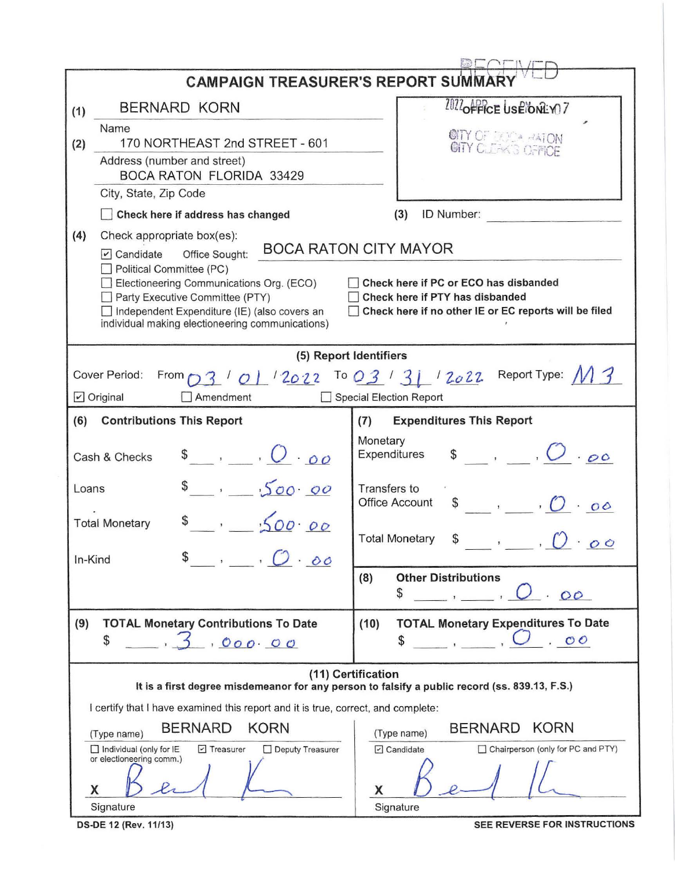| <b>CAMPAIGN TREASURER'S REPORT SUMMAR</b>                                                                           |                                                                                                                                                                                                                                                                                                                                                                                                                                                                                                        |  |  |  |  |  |  |  |
|---------------------------------------------------------------------------------------------------------------------|--------------------------------------------------------------------------------------------------------------------------------------------------------------------------------------------------------------------------------------------------------------------------------------------------------------------------------------------------------------------------------------------------------------------------------------------------------------------------------------------------------|--|--|--|--|--|--|--|
| <b>BERNARD KORN</b><br>(1)                                                                                          | 2022 OFFICE USE ONLY 7                                                                                                                                                                                                                                                                                                                                                                                                                                                                                 |  |  |  |  |  |  |  |
| Name<br>170 NORTHEAST 2nd STREET - 601<br>(2)                                                                       | <b>GITY</b> OF BODA HATON                                                                                                                                                                                                                                                                                                                                                                                                                                                                              |  |  |  |  |  |  |  |
| Address (number and street)                                                                                         |                                                                                                                                                                                                                                                                                                                                                                                                                                                                                                        |  |  |  |  |  |  |  |
| <b>BOCA RATON FLORIDA 33429</b>                                                                                     |                                                                                                                                                                                                                                                                                                                                                                                                                                                                                                        |  |  |  |  |  |  |  |
| City, State, Zip Code                                                                                               |                                                                                                                                                                                                                                                                                                                                                                                                                                                                                                        |  |  |  |  |  |  |  |
| Check here if address has changed                                                                                   | ID Number:<br>(3)                                                                                                                                                                                                                                                                                                                                                                                                                                                                                      |  |  |  |  |  |  |  |
| (4)<br>Check appropriate box(es):                                                                                   |                                                                                                                                                                                                                                                                                                                                                                                                                                                                                                        |  |  |  |  |  |  |  |
| $\triangleright$ Candidate<br>Office Sought:                                                                        | <b>BOCA RATON CITY MAYOR</b>                                                                                                                                                                                                                                                                                                                                                                                                                                                                           |  |  |  |  |  |  |  |
| Electioneering Communications Org. (ECO)                                                                            | Political Committee (PC)<br>Check here if PC or ECO has disbanded                                                                                                                                                                                                                                                                                                                                                                                                                                      |  |  |  |  |  |  |  |
| Party Executive Committee (PTY)                                                                                     | Check here if PTY has disbanded                                                                                                                                                                                                                                                                                                                                                                                                                                                                        |  |  |  |  |  |  |  |
| Independent Expenditure (IE) (also covers an<br>individual making electioneering communications)                    | Check here if no other IE or EC reports will be filed                                                                                                                                                                                                                                                                                                                                                                                                                                                  |  |  |  |  |  |  |  |
|                                                                                                                     |                                                                                                                                                                                                                                                                                                                                                                                                                                                                                                        |  |  |  |  |  |  |  |
|                                                                                                                     | (5) Report Identifiers                                                                                                                                                                                                                                                                                                                                                                                                                                                                                 |  |  |  |  |  |  |  |
| Cover Period:                                                                                                       | From $O3'$ / $O1'$ $2022$ To $O3'$ $31'$ $2022$ Report Type: $M3$                                                                                                                                                                                                                                                                                                                                                                                                                                      |  |  |  |  |  |  |  |
| Amendment<br>$\triangleright$ Original<br>Special Election Report                                                   |                                                                                                                                                                                                                                                                                                                                                                                                                                                                                                        |  |  |  |  |  |  |  |
| (6)<br><b>Contributions This Report</b>                                                                             | <b>Expenditures This Report</b><br>(7)                                                                                                                                                                                                                                                                                                                                                                                                                                                                 |  |  |  |  |  |  |  |
| $\mathsf{s}$ , $\mathsf{O} \cdot \mathsf{oo}$<br>Cash & Checks                                                      | Monetary<br>$\int$ , $O \cdot \rho \circ$<br>Expenditures                                                                                                                                                                                                                                                                                                                                                                                                                                              |  |  |  |  |  |  |  |
| $\frac{1}{2}$ , 500.00<br>Loans                                                                                     | Transfers to<br>$\begin{array}{ccccc}\n\text{\$} & & \text{\,} & \text{\,} & \text{\,} & \text{\,} & \text{\,} & \text{\,} & \text{\,} & \text{\,} & \text{\,} & \text{\,} & \text{\,} & \text{\,} & \text{\,} & \text{\,} & \text{\,} & \text{\,} & \text{\,} & \text{\,} & \text{\,} & \text{\,} & \text{\,} & \text{\,} & \text{\,} & \text{\,} & \text{\,} & \text{\,} & \text{\,} & \text{\,} & \text{\,} & \text{\,} & \text{\,} & \text{\,} & \text{\,} & \text{\,} &$<br><b>Office Account</b> |  |  |  |  |  |  |  |
| .500.00<br><b>Total Monetary</b>                                                                                    | <b>Total Monetary</b><br>S<br>$\circ$                                                                                                                                                                                                                                                                                                                                                                                                                                                                  |  |  |  |  |  |  |  |
| $\bullet$ , $\bullet$ , $\circ$<br>In-Kind                                                                          |                                                                                                                                                                                                                                                                                                                                                                                                                                                                                                        |  |  |  |  |  |  |  |
|                                                                                                                     | <b>Other Distributions</b><br>(8)<br>\$<br>00                                                                                                                                                                                                                                                                                                                                                                                                                                                          |  |  |  |  |  |  |  |
| (9)<br><b>TOTAL Monetary Contributions To Date</b>                                                                  | <b>TOTAL Monetary Expenditures To Date</b><br>(10)                                                                                                                                                                                                                                                                                                                                                                                                                                                     |  |  |  |  |  |  |  |
| \$<br>000.00                                                                                                        | \$<br>$\cdot$ 00                                                                                                                                                                                                                                                                                                                                                                                                                                                                                       |  |  |  |  |  |  |  |
| (11) Certification<br>It is a first degree misdemeanor for any person to falsify a public record (ss. 839.13, F.S.) |                                                                                                                                                                                                                                                                                                                                                                                                                                                                                                        |  |  |  |  |  |  |  |
| I certify that I have examined this report and it is true, correct, and complete:                                   |                                                                                                                                                                                                                                                                                                                                                                                                                                                                                                        |  |  |  |  |  |  |  |
| <b>BERNARD</b><br><b>KORN</b><br>(Type name)                                                                        | <b>KORN</b><br><b>BERNARD</b><br>(Type name)                                                                                                                                                                                                                                                                                                                                                                                                                                                           |  |  |  |  |  |  |  |
| Individual (only for IE<br>$\triangleright$ Treasurer<br>Deputy Treasurer                                           | Chairperson (only for PC and PTY)<br>$\Box$ Candidate                                                                                                                                                                                                                                                                                                                                                                                                                                                  |  |  |  |  |  |  |  |
| or electioneering comm.)                                                                                            |                                                                                                                                                                                                                                                                                                                                                                                                                                                                                                        |  |  |  |  |  |  |  |
| X                                                                                                                   | X                                                                                                                                                                                                                                                                                                                                                                                                                                                                                                      |  |  |  |  |  |  |  |
| Signature                                                                                                           | Signature                                                                                                                                                                                                                                                                                                                                                                                                                                                                                              |  |  |  |  |  |  |  |

DS-DE 12 (Rev. 11/13)

SEE REVERSE FOR INSTRUCTIONS